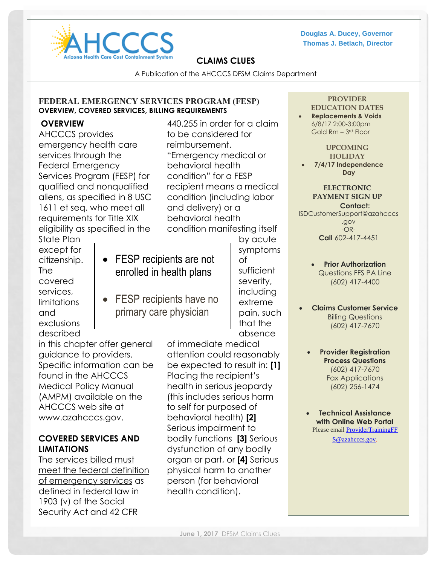

**Douglas A. Ducey, Governor Thomas J. Betlach, Director**

### **CLAIMS CLUES**

A Publication of the AHCCCS DFSM Claims Department

### **FEDERAL EMERGENCY SERVICES PROGRAM (FESP) OVERVIEW, COVERED SERVICES, BILLING REQUIREMENTS**

### **OVERVIEW**

AHCCCS provides emergency health care services through the Federal Emergency Services Program (FESP) for qualified and nonqualified aliens, as specified in 8 USC 1611 et seq. who meet all requirements for Title XIX eligibility as specified in the

440.255 in order for a claim to be considered for reimbursement. "Emergency medical or behavioral health condition" for a FESP recipient means a medical condition (including labor and delivery) or a behavioral health condition manifesting itself

State Plan except for citizenship. The covered services, limitations and exclusions described

- FESP recipients are not enrolled in health plans
- FESP recipients have no primary care physician

by acute symptoms of sufficient severity, including extreme pain, such that the absence

in this chapter offer general guidance to providers. Specific information can be found in the AHCCCS Medical Policy Manual (AMPM) available on the AHCCCS web site at www.azahcccs.gov.

### **COVERED SERVICES AND LIMITATIONS**

The services billed must meet the federal definition of emergency services as defined in federal law in 1903 (v) of the Social Security Act and 42 CFR

of immediate medical attention could reasonably be expected to result in: **[1]** Placing the recipient's health in serious jeopardy (this includes serious harm to self for purposed of behavioral health) **[2]** Serious impairment to bodily functions **[3]** Serious dysfunction of any bodily organ or part, or **[4]** Serious physical harm to another person (for behavioral health condition).

### **PROVIDER**

#### **EDUCATION DATES**

 **Replacements & Voids** 6/8/17 2:00-3:00pm Gold Rm - 3rd Floor

#### **UPCOMING HOLIDAY**

 **7/4/17 Independence Day**

#### **ELECTRONIC PAYMENT SIGN UP Contact:**

[ISDCustomerSupport@azahcccs](mailto:ISDCustomerSupport@azahcccs.gov) [.gov](mailto:ISDCustomerSupport@azahcccs.gov) -OR-**Call** 602-417-4451

- **Prior Authorization** Questions FFS PA Line (602) 417-4400
- **Claims Customer Service** Billing Questions (602) 417-7670
	- **Provider Registration Process Questions** (602) 417-7670 Fax Applications (602) 256-1474
- **Technical Assistance with Online Web Portal** Please email [ProviderTrainingFF](mailto:ProviderTrainingFF%20S@azahcccs.gov)

[S@azahcccs.gov.](mailto:ProviderTrainingFF%20S@azahcccs.gov)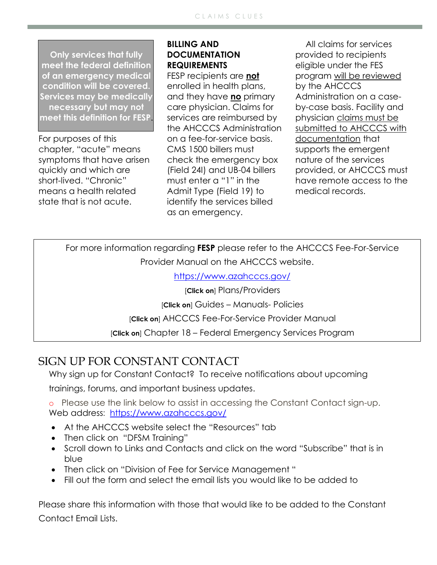**Only services that fully meet the federal definition of an emergency medical condition will be covered. Services may be medically necessary but may not meet this definition for FESP**.

For purposes of this chapter, "acute" means symptoms that have arisen quickly and which are short-lived. "Chronic" means a health related state that is not acute.

## **BILLING AND DOCUMENTATION REQUIREMENTS**

FESP recipients are **not** enrolled in health plans, and they have **no** primary care physician. Claims for services are reimbursed by the AHCCCS Administration on a fee-for-service basis. CMS 1500 billers must check the emergency box (Field 24I) and UB-04 billers must enter a "1" in the Admit Type (Field 19) to identify the services billed as an emergency.

All claims for services provided to recipients eligible under the FES program will be reviewed by the AHCCCS Administration on a caseby-case basis. Facility and physician claims must be submitted to AHCCCS with documentation that supports the emergent nature of the services provided, or AHCCCS must have remote access to the medical records.

For more information regarding **FESP** please refer to the AHCCCS Fee-For-Service Provider Manual on the AHCCCS website.

<https://www.azahcccs.gov/>

[**Click on**] Plans/Providers

[**Click on**] Guides – Manuals- Policies

[**Click on**] AHCCCS Fee-For-Service Provider Manual

[**Click on**] Chapter 18 – Federal Emergency Services Program

# SIGN UP FOR CONSTANT CONTACT

Why sign up for Constant Contact? To receive notifications about upcoming

trainings, forums, and important business updates.

o Please use the link below to assist in accessing the Constant Contact sign-up. Web address: <https://www.azahcccs.gov/>

- At the AHCCCS website select the "Resources" tab
- Then click on "DFSM Training"
- Scroll down to Links and Contacts and click on the word "Subscribe" that is in blue
- Then click on "Division of Fee for Service Management "
- Fill out the form and select the email lists you would like to be added to

Please share this information with those that would like to be added to the Constant Contact Email Lists.